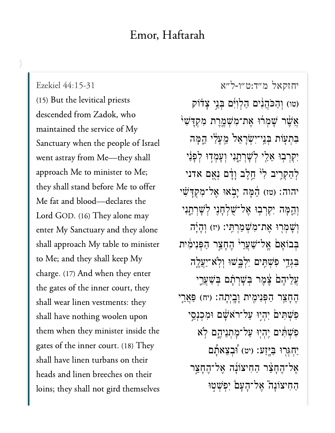(15) But the levitical priests descended from Zadok, who maintained the service of My Sanctuary when the people of Israel went astray from Me—they shall approach Me to minister to Me; they shall stand before Me to offer Me fat and blood—declares the Lord GOD. (16) They alone may enter My Sanctuary and they alone shall approach My table to minister to Me; and they shall keep My charge. (17) And when they enter the gates of the inner court, they shall wear linen vestments: they shall have nothing woolen upon them when they minister inside the gates of the inner court. (18) They shall have linen turbans on their heads and linen breeches on their loins; they shall not gird themselves

[יחזקאל מ״ד:ט״ו-ל״א](https://www.sefaria.org/Ezekiel%2044:15-31) [44:15-31 Ezekiel](https://www.sefaria.org/Ezekiel%2044:15-31) (טו) וְהַכֹּהֲנִ<sup>וּ</sup>ם הַלְוְיִּ֫ם בְּנֵי צָדֹוֹק אֲשֶׁר שָׁמְרוּ אֶת־מְשָׁמֵרֶת מִקְדָּשִׁי בִּתְעָׂוֹת בְּנֵי־יִשְׂרָאֵל מֵעַלֵּי הֵמַּה יְקִרְבְוּ אֱלֵי לְשָׁרְחֱנִי וְעַמְדִוּ לְפַנַי לְהַקְרֵיב לִ<sup>וּ</sup> חֱלֵב וַדָּם נִאֱם אדני יהוה: (טז) הֵמָּה יָבְאוּ אֱל־מִקְדַּשִׁי וְהֵמָּה יִקְרִבְוּ אֱל<sup>-</sup>ִשְׁלְחָנֵי לְשַׁרְחֵנִי וְשָׁמְרִוּ אֶת־מְשָׁמַרְתְּי: (יז) וְהָיָה בִּבוֹאַם *אֱל־שַׁ*עֲרֵ<sup>וּ</sup> הֶחָצֵר הַפְּנִימִית בִּגְדֵי פִשְׁתֵּים יִלְבַּשׁוּ וְלְא-יַעֲלֵה ַעֲלֵיהֵם יָצָמֵר בִּשָׁרָתָם בְּשַׁעֲרֵי ּהֶחָצֵר הַפְּנִימֶית וָבָיִתָה: (יח) פַּאֲרֵי פִשְׁתִּים יִהְיִוּ עַל־רֹאָשָׁם וּמִכְנְסֵי פִשָּׁתָּים יְהָיִוּ עַל־מַתְנֵיהֱם לְא ֿיַחְגִּרְוּ בַּיְּזַע׃ (יט) וְבִצֵאתָ<sub>ם</sub> ְאֱל־הֶחָצֶר הַחִיצוֹנָה אֱל־הֶחָצֵר החיצוֹנה" אֵל־הַעֲם יִפְשִׁטִוּ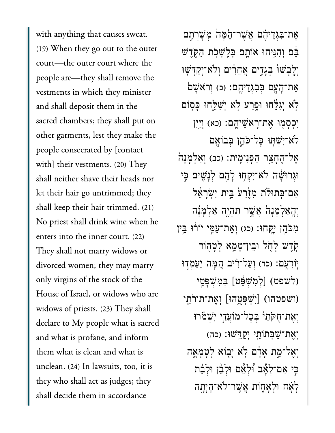with anything that causes sweat. (19) When they go out to the outer court—the outer court where the people are—they shall remove the vestments in which they minister and shall deposit them in the sacred chambers; they shall put on other garments, lest they make the people consecrated by [contact with] their vestments. (20) They shall neither shave their heads nor let their hair go untrimmed; they shall keep their hair trimmed. (21) No priest shall drink wine when he enters into the inner court. (22) They shall not marry widows or divorced women; they may marry only virgins of the stock of the House of Israel, or widows who are widows of priests. (23) They shall declare to My people what is sacred and what is profane, and inform them what is clean and what is unclean. (24) In lawsuits, too, it is they who shall act as judges; they shall decide them in accordance

אֶת־בִּגְדֵיהֶׁם אֲשֶׁר־הֶמָּה מְשַׁרִתֵּם ּבָּ֫ם וְהִנֵּיחוּ אוֹתֵם בְּלֵשְׁכְ**ֹת הַקְ**ּדֵּֽשׁ וְלֵבְשׁוּ בְּגָדִים אֲחֵרִים וְלֹא־יִקַדִּשִׁוּ אֶת־הָעֲם בִּבְגְדֵיהֱם: (כ) וְרֹא<sup>ָ</sup>שָׁם יְשָׁלֵחוּ וּפֵרַע לְא יְשַׁלֵחוּ כָּסְוֹם יִכְסְמְוּ אֶת־רָאֹשֵׁיהֱם: (כא) וְ<u>י</u>ִין ּלֹא־יִשְׁתְּוּ כָּל־כֹּהֵן בִּבוֹאֲם אֶל־הֶחָצֵר הַפְּנִימֶית: (כב) וְאַלְמָנָה<sup>ָ</sup> וּגְרוּשָׁה לֹא־יִקְחְוּ לְהֶם לְנָשִׁים כִּי אָם־בְּתוּלֹת מְזֵּ<sup>ׂ</sup>רַעֹּ בֵּיִת יְשָׂרָאֵל וְהַאַלְמַנָה אֲשֶׁר תֵּהְיֶה אַלְמַנָּה מְכֹּהֵן יֵקְחוּ: (כג) וְאֵת־עַמֶּי יוֹרוּ בֵּין ֹקְדֵשׁ לְחָל וּבֵין־טָמֵא לְטָהְוֹר יֹוֹדְעֶם: (כד) וְעַל־רָיב הֱמָּה יַעַמְדִוּ (לשפט) [לְמְשָׁפָּט] בִּמְשָׁפָּטֵי וושפטהו) [יְשִׁפְטֶהוּ] וְאֵת־תּוֹרֹתֵי) וְאֵת־חִקּתַי<sup>ּ</sup> בִּכַל־מוֹעֲדֵי יְשָׁמֹרוּ וְאֶת־שַׁבְּתוֹת*ַי* יְקַדֵּשׁוּ: (כה) וְאֱל־מֶת אֲדָם לְא יַבְוֹא לְטַמְאָה ּבִי אִם־לְאָב וּלְאֵם וּלְבֵן וּלְבַת ַּלְאָׁח וּלְאַחֲוֹת אֲשֱר־לֹא־הַיְתֵה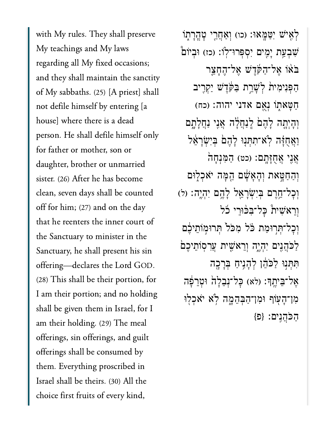with My rules. They shall preserve My teachings and My laws regarding all My fixed occasions; and they shall maintain the sanctity of My sabbaths. (25) [A priest] shall not defile himself by entering [a house] where there is a dead person. He shall defile himself only for father or mother, son or daughter, brother or unmarried sister. (26) After he has become clean, seven days shall be counted off for him; (27) and on the day that he reenters the inner court of the Sanctuary to minister in the Sanctuary, he shall present his sin offering-declares the Lord GOD. (28) This shall be their portion, for I am their portion; and no holding shall be given them in Israel, for I am their holding. (29) The meal offerings, sin offerings, and guilt offerings shall be consumed by them. Everything proscribed in Israel shall be theirs. (30) All the choice first fruits of every kind,

לְאִישׁ יִטַּמָּאוּ: (כו) וְאַחֲרֵי טָהֲרָתָוֹ שִׁבְעַת יָמֶים יִסִפְּרוּ־לְוֹ: (כז) וּבִיוֹם בֹאוֹ אֲל־הַקּׂרֵשׁ אֲל־הֵחָצֵר הַפּּנִימִית לִשָּׁרֵת בַּקּׂדֵשׁ יַקְרֵיב חַטָּאתְוֹ נִאֲם אדני יהוה: (כח) וְהָיְתֶה לָהֶםׂ לְנַחֲלָה אֲנֵי נַחֲלָתֶם וַאֲחֻזָּה לְא־תִתְנִוּ לָהֶם בִּיְשְׂרָאֵל אֲנֶי אֲחֻזָּתֲם: (כט) הַמִּנִחַה וְהַחַטֶּאת וְהָאֲשָׁם הֱמָּה יֹאכִלְוּם וְכָל־חֱרֵם בִּיְשָׂרָאֱל לָהֱם יִהְיֶה: (ל) וְרֵאֹשִׁית כָּלִ־בְּכּוּרֵי כֹל וִכְלִ־תְּרְוּמַת כֹּל מְכֹל תְּרוּמְוֹתֵיכֵם לַכֹּהֲנִים יִהְיֶה וְרֵאֹשֶׁית עֲרִסְוֹתֵיכֶם תִּתְּנִוּ לַכֹּהֵן לְהָנֵיחַ בְּרָכֶה אֶל־בֵּיתֱךָ: (לא) כָּל־נִבֲלָה וּטְרֵפָּה מִוְ־הָעְוֹף וּמְוְ־הַבְּהֵמֶה לְא יֹאכִלְוּ הכֹּהנים: {פ}